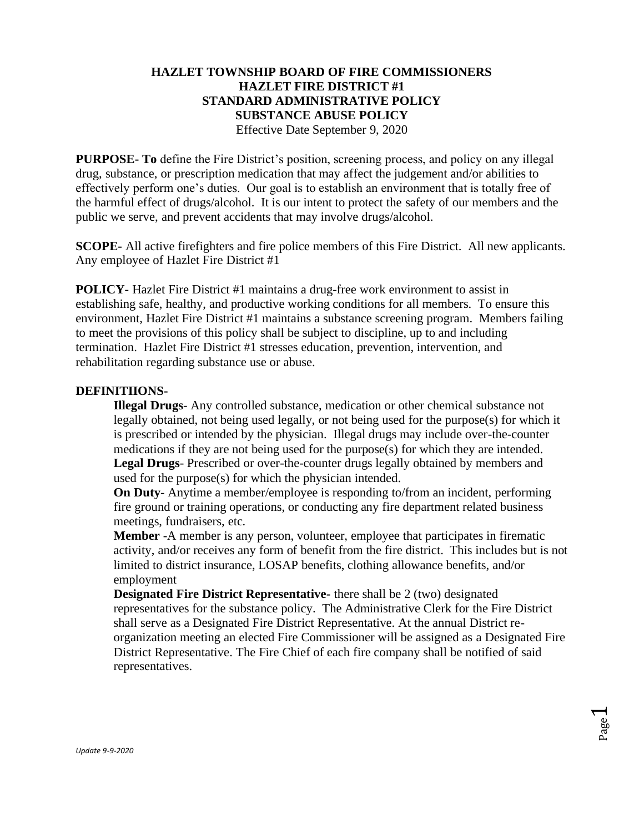# **HAZLET TOWNSHIP BOARD OF FIRE COMMISSIONERS HAZLET FIRE DISTRICT #1 STANDARD ADMINISTRATIVE POLICY SUBSTANCE ABUSE POLICY** Effective Date September 9, 2020

**PURPOSE- To** define the Fire District's position, screening process, and policy on any illegal drug, substance, or prescription medication that may affect the judgement and/or abilities to effectively perform one's duties. Our goal is to establish an environment that is totally free of the harmful effect of drugs/alcohol. It is our intent to protect the safety of our members and the public we serve, and prevent accidents that may involve drugs/alcohol.

**SCOPE-** All active firefighters and fire police members of this Fire District. All new applicants. Any employee of Hazlet Fire District #1

**POLICY-** Hazlet Fire District #1 maintains a drug-free work environment to assist in establishing safe, healthy, and productive working conditions for all members. To ensure this environment, Hazlet Fire District #1 maintains a substance screening program. Members failing to meet the provisions of this policy shall be subject to discipline, up to and including termination. Hazlet Fire District #1 stresses education, prevention, intervention, and rehabilitation regarding substance use or abuse.

## **DEFINITIIONS-**

**Illegal Drugs**- Any controlled substance, medication or other chemical substance not legally obtained, not being used legally, or not being used for the purpose(s) for which it is prescribed or intended by the physician. Illegal drugs may include over-the-counter medications if they are not being used for the purpose(s) for which they are intended. **Legal Drugs**- Prescribed or over-the-counter drugs legally obtained by members and used for the purpose(s) for which the physician intended.

**On Duty-** Anytime a member/employee is responding to/from an incident, performing fire ground or training operations, or conducting any fire department related business meetings, fundraisers, etc.

**Member** -A member is any person, volunteer, employee that participates in firematic activity, and/or receives any form of benefit from the fire district. This includes but is not limited to district insurance, LOSAP benefits, clothing allowance benefits, and/or employment

**Designated Fire District Representative-** there shall be 2 (two) designated representatives for the substance policy. The Administrative Clerk for the Fire District shall serve as a Designated Fire District Representative. At the annual District reorganization meeting an elected Fire Commissioner will be assigned as a Designated Fire District Representative. The Fire Chief of each fire company shall be notified of said representatives.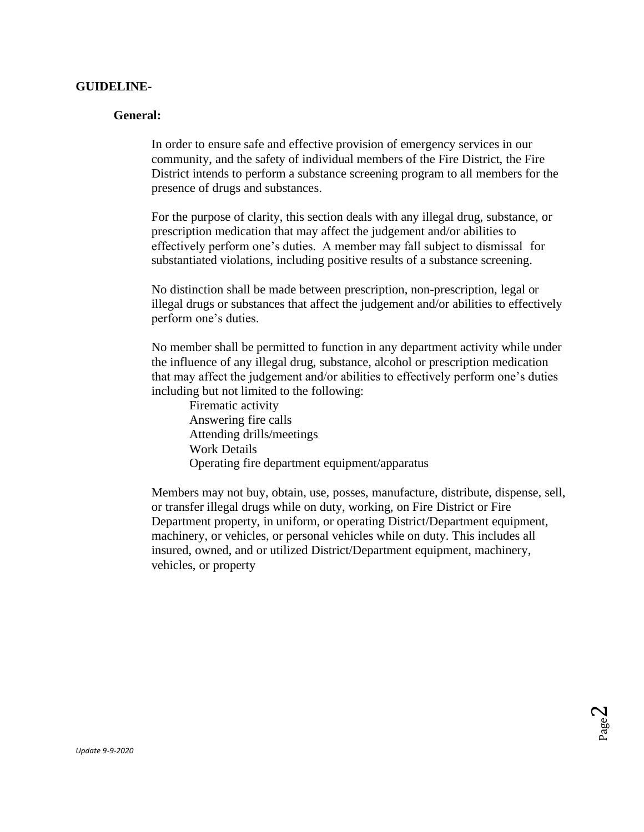### **GUIDELINE-**

### **General:**

In order to ensure safe and effective provision of emergency services in our community, and the safety of individual members of the Fire District, the Fire District intends to perform a substance screening program to all members for the presence of drugs and substances.

For the purpose of clarity, this section deals with any illegal drug, substance, or prescription medication that may affect the judgement and/or abilities to effectively perform one's duties. A member may fall subject to dismissal for substantiated violations, including positive results of a substance screening.

No distinction shall be made between prescription, non-prescription, legal or illegal drugs or substances that affect the judgement and/or abilities to effectively perform one's duties.

No member shall be permitted to function in any department activity while under the influence of any illegal drug, substance, alcohol or prescription medication that may affect the judgement and/or abilities to effectively perform one's duties including but not limited to the following:

Firematic activity Answering fire calls Attending drills/meetings Work Details Operating fire department equipment/apparatus

Members may not buy, obtain, use, posses, manufacture, distribute, dispense, sell, or transfer illegal drugs while on duty, working, on Fire District or Fire Department property, in uniform, or operating District/Department equipment, machinery, or vehicles, or personal vehicles while on duty. This includes all insured, owned, and or utilized District/Department equipment, machinery, vehicles, or property

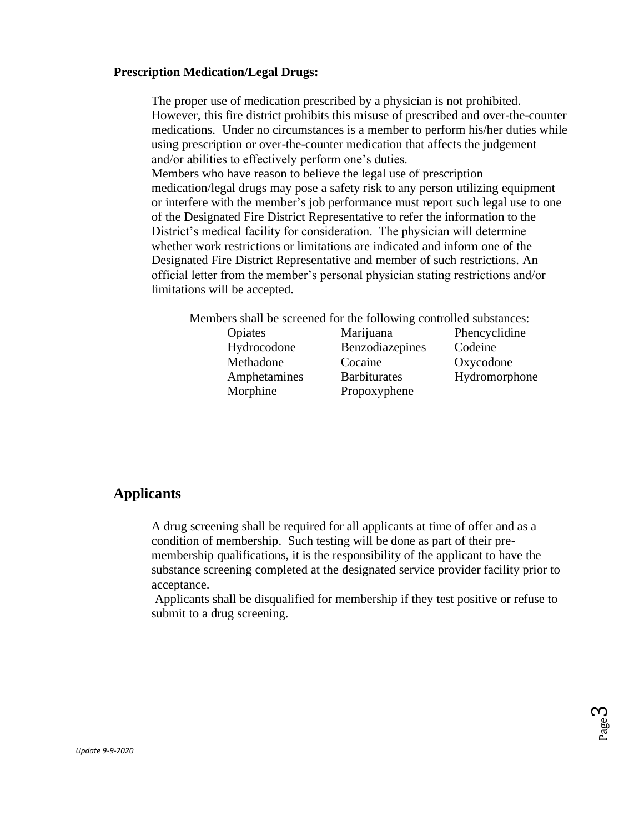### **Prescription Medication/Legal Drugs:**

The proper use of medication prescribed by a physician is not prohibited. However, this fire district prohibits this misuse of prescribed and over-the-counter medications. Under no circumstances is a member to perform his/her duties while using prescription or over-the-counter medication that affects the judgement and/or abilities to effectively perform one's duties. Members who have reason to believe the legal use of prescription medication/legal drugs may pose a safety risk to any person utilizing equipment or interfere with the member's job performance must report such legal use to one of the Designated Fire District Representative to refer the information to the District's medical facility for consideration. The physician will determine whether work restrictions or limitations are indicated and inform one of the Designated Fire District Representative and member of such restrictions. An official letter from the member's personal physician stating restrictions and/or limitations will be accepted.

Members shall be screened for the following controlled substances:

- Morphine Propoxyphene
- Opiates Marijuana Phencyclidine Hydrocodone Benzodiazepines Codeine Methadone Cocaine Oxycodone Amphetamines Barbiturates Hydromorphone

# **Applicants**

A drug screening shall be required for all applicants at time of offer and as a condition of membership. Such testing will be done as part of their premembership qualifications, it is the responsibility of the applicant to have the substance screening completed at the designated service provider facility prior to acceptance.

Applicants shall be disqualified for membership if they test positive or refuse to submit to a drug screening.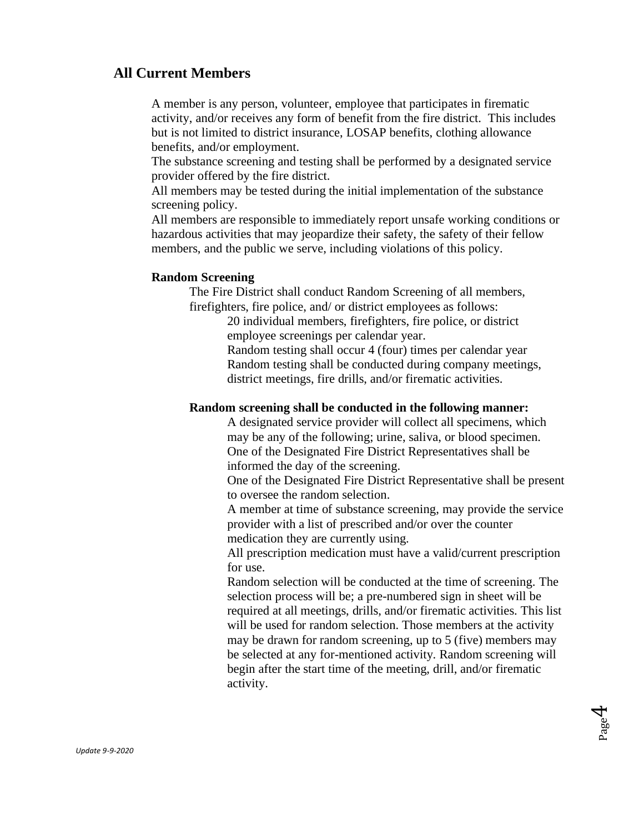# **All Current Members**

A member is any person, volunteer, employee that participates in firematic activity, and/or receives any form of benefit from the fire district. This includes but is not limited to district insurance, LOSAP benefits, clothing allowance benefits, and/or employment.

The substance screening and testing shall be performed by a designated service provider offered by the fire district.

All members may be tested during the initial implementation of the substance screening policy.

All members are responsible to immediately report unsafe working conditions or hazardous activities that may jeopardize their safety, the safety of their fellow members, and the public we serve, including violations of this policy.

### **Random Screening**

The Fire District shall conduct Random Screening of all members, firefighters, fire police, and/ or district employees as follows:

> 20 individual members, firefighters, fire police, or district employee screenings per calendar year.

Random testing shall occur 4 (four) times per calendar year Random testing shall be conducted during company meetings, district meetings, fire drills, and/or firematic activities.

#### **Random screening shall be conducted in the following manner:**

A designated service provider will collect all specimens, which may be any of the following; urine, saliva, or blood specimen. One of the Designated Fire District Representatives shall be informed the day of the screening.

One of the Designated Fire District Representative shall be present to oversee the random selection.

A member at time of substance screening, may provide the service provider with a list of prescribed and/or over the counter medication they are currently using.

All prescription medication must have a valid/current prescription for use.

Random selection will be conducted at the time of screening. The selection process will be; a pre-numbered sign in sheet will be required at all meetings, drills, and/or firematic activities. This list will be used for random selection. Those members at the activity may be drawn for random screening, up to 5 (five) members may be selected at any for-mentioned activity. Random screening will begin after the start time of the meeting, drill, and/or firematic activity.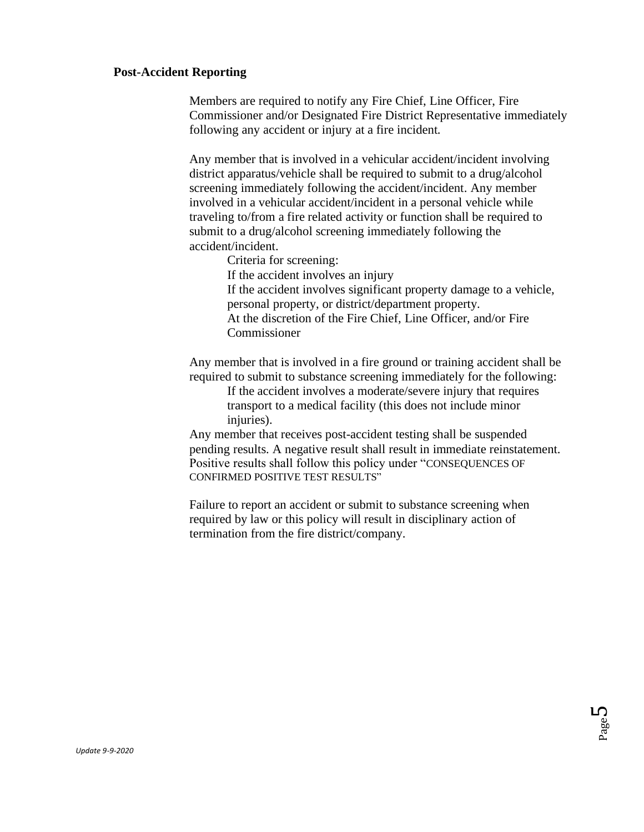# **Post-Accident Reporting**

Members are required to notify any Fire Chief, Line Officer, Fire Commissioner and/or Designated Fire District Representative immediately following any accident or injury at a fire incident.

Any member that is involved in a vehicular accident/incident involving district apparatus/vehicle shall be required to submit to a drug/alcohol screening immediately following the accident/incident. Any member involved in a vehicular accident/incident in a personal vehicle while traveling to/from a fire related activity or function shall be required to submit to a drug/alcohol screening immediately following the accident/incident.

Criteria for screening:

If the accident involves an injury

If the accident involves significant property damage to a vehicle, personal property, or district/department property. At the discretion of the Fire Chief, Line Officer, and/or Fire Commissioner

Any member that is involved in a fire ground or training accident shall be required to submit to substance screening immediately for the following:

> If the accident involves a moderate/severe injury that requires transport to a medical facility (this does not include minor injuries).

Any member that receives post-accident testing shall be suspended pending results. A negative result shall result in immediate reinstatement. Positive results shall follow this policy under "CONSEQUENCES OF CONFIRMED POSITIVE TEST RESULTS"

Failure to report an accident or submit to substance screening when required by law or this policy will result in disciplinary action of termination from the fire district/company.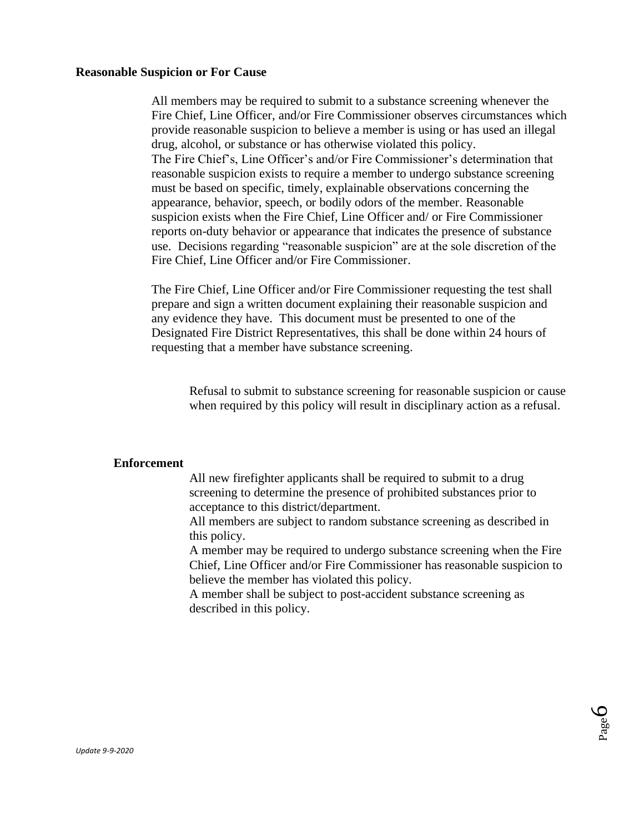#### **Reasonable Suspicion or For Cause**

All members may be required to submit to a substance screening whenever the Fire Chief, Line Officer, and/or Fire Commissioner observes circumstances which provide reasonable suspicion to believe a member is using or has used an illegal drug, alcohol, or substance or has otherwise violated this policy. The Fire Chief's, Line Officer's and/or Fire Commissioner's determination that reasonable suspicion exists to require a member to undergo substance screening must be based on specific, timely, explainable observations concerning the appearance, behavior, speech, or bodily odors of the member. Reasonable suspicion exists when the Fire Chief, Line Officer and/ or Fire Commissioner reports on-duty behavior or appearance that indicates the presence of substance use. Decisions regarding "reasonable suspicion" are at the sole discretion of the Fire Chief, Line Officer and/or Fire Commissioner.

The Fire Chief, Line Officer and/or Fire Commissioner requesting the test shall prepare and sign a written document explaining their reasonable suspicion and any evidence they have. This document must be presented to one of the Designated Fire District Representatives, this shall be done within 24 hours of requesting that a member have substance screening.

Refusal to submit to substance screening for reasonable suspicion or cause when required by this policy will result in disciplinary action as a refusal.

#### **Enforcement**

All new firefighter applicants shall be required to submit to a drug screening to determine the presence of prohibited substances prior to acceptance to this district/department.

All members are subject to random substance screening as described in this policy.

A member may be required to undergo substance screening when the Fire Chief, Line Officer and/or Fire Commissioner has reasonable suspicion to believe the member has violated this policy.

A member shall be subject to post-accident substance screening as described in this policy.

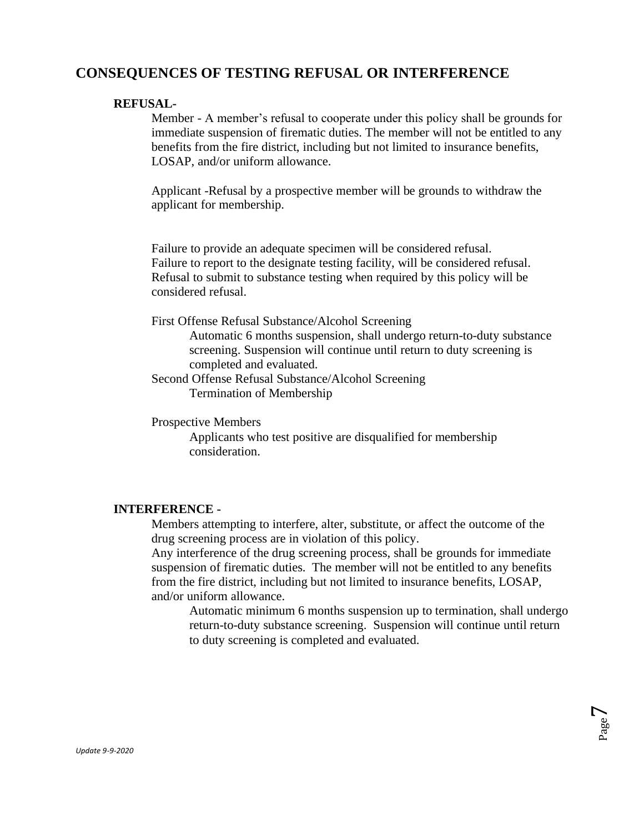# **CONSEQUENCES OF TESTING REFUSAL OR INTERFERENCE**

# **REFUSAL-**

Member - A member's refusal to cooperate under this policy shall be grounds for immediate suspension of firematic duties. The member will not be entitled to any benefits from the fire district, including but not limited to insurance benefits, LOSAP, and/or uniform allowance.

Applicant -Refusal by a prospective member will be grounds to withdraw the applicant for membership.

Failure to provide an adequate specimen will be considered refusal. Failure to report to the designate testing facility, will be considered refusal. Refusal to submit to substance testing when required by this policy will be considered refusal.

First Offense Refusal Substance/Alcohol Screening

Automatic 6 months suspension, shall undergo return-to-duty substance screening. Suspension will continue until return to duty screening is completed and evaluated.

Second Offense Refusal Substance/Alcohol Screening Termination of Membership

Prospective Members

Applicants who test positive are disqualified for membership consideration.

### **INTERFERENCE -**

Members attempting to interfere, alter, substitute, or affect the outcome of the drug screening process are in violation of this policy.

Any interference of the drug screening process, shall be grounds for immediate suspension of firematic duties. The member will not be entitled to any benefits from the fire district, including but not limited to insurance benefits, LOSAP, and/or uniform allowance.

Automatic minimum 6 months suspension up to termination, shall undergo return-to-duty substance screening. Suspension will continue until return to duty screening is completed and evaluated.

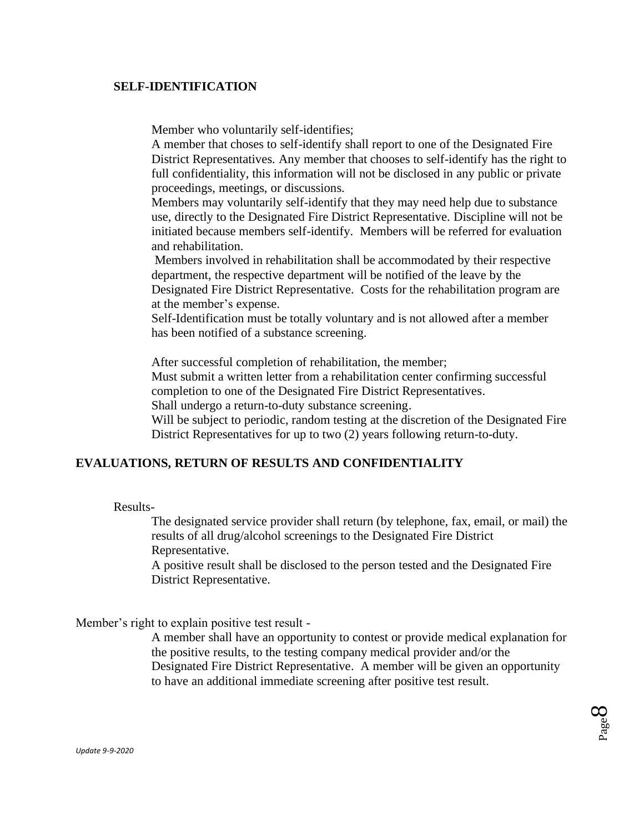## **SELF-IDENTIFICATION**

Member who voluntarily self-identifies;

A member that choses to self-identify shall report to one of the Designated Fire District Representatives. Any member that chooses to self-identify has the right to full confidentiality, this information will not be disclosed in any public or private proceedings, meetings, or discussions.

Members may voluntarily self-identify that they may need help due to substance use, directly to the Designated Fire District Representative. Discipline will not be initiated because members self-identify. Members will be referred for evaluation and rehabilitation.

Members involved in rehabilitation shall be accommodated by their respective department, the respective department will be notified of the leave by the Designated Fire District Representative. Costs for the rehabilitation program are at the member's expense.

Self-Identification must be totally voluntary and is not allowed after a member has been notified of a substance screening.

After successful completion of rehabilitation, the member;

Must submit a written letter from a rehabilitation center confirming successful completion to one of the Designated Fire District Representatives.

Shall undergo a return-to-duty substance screening.

Will be subject to periodic, random testing at the discretion of the Designated Fire District Representatives for up to two (2) years following return-to-duty.

# **EVALUATIONS, RETURN OF RESULTS AND CONFIDENTIALITY**

Results-

The designated service provider shall return (by telephone, fax, email, or mail) the results of all drug/alcohol screenings to the Designated Fire District Representative.

A positive result shall be disclosed to the person tested and the Designated Fire District Representative.

Member's right to explain positive test result -

A member shall have an opportunity to contest or provide medical explanation for the positive results, to the testing company medical provider and/or the Designated Fire District Representative. A member will be given an opportunity to have an additional immediate screening after positive test result.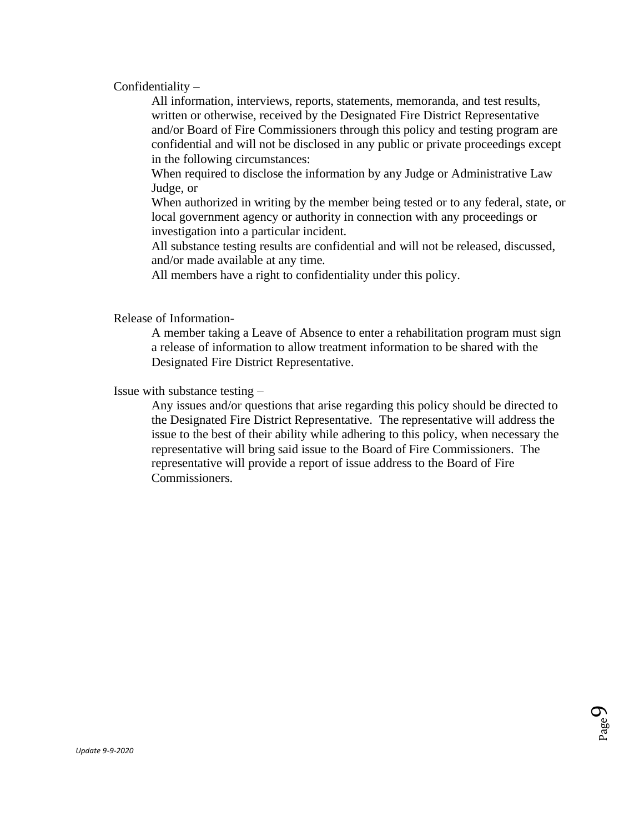Confidentiality –

All information, interviews, reports, statements, memoranda, and test results, written or otherwise, received by the Designated Fire District Representative and/or Board of Fire Commissioners through this policy and testing program are confidential and will not be disclosed in any public or private proceedings except in the following circumstances:

When required to disclose the information by any Judge or Administrative Law Judge, or

When authorized in writing by the member being tested or to any federal, state, or local government agency or authority in connection with any proceedings or investigation into a particular incident.

All substance testing results are confidential and will not be released, discussed, and/or made available at any time.

All members have a right to confidentiality under this policy.

Release of Information-

A member taking a Leave of Absence to enter a rehabilitation program must sign a release of information to allow treatment information to be shared with the Designated Fire District Representative.

Issue with substance testing –

Any issues and/or questions that arise regarding this policy should be directed to the Designated Fire District Representative. The representative will address the issue to the best of their ability while adhering to this policy, when necessary the representative will bring said issue to the Board of Fire Commissioners. The representative will provide a report of issue address to the Board of Fire Commissioners.